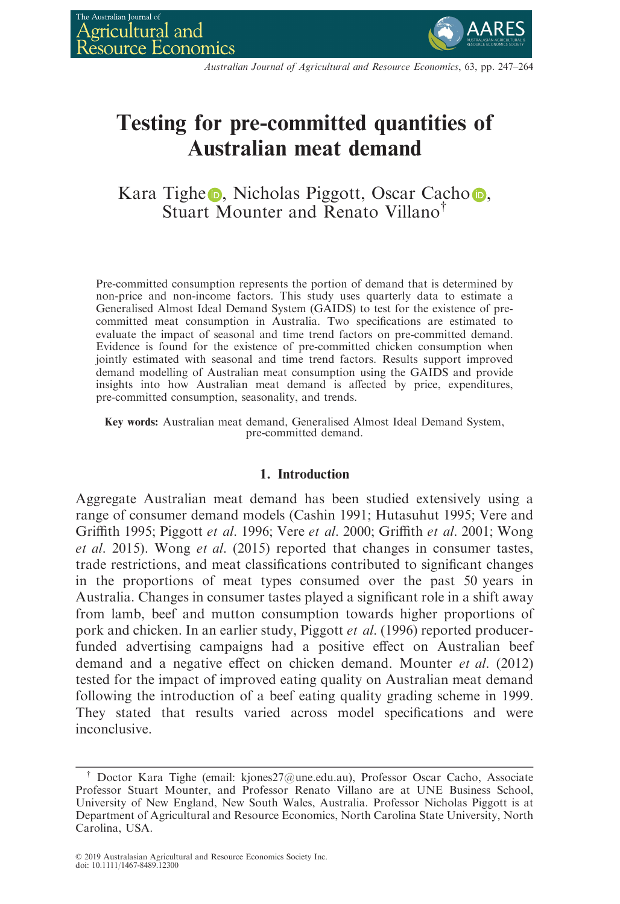

Australian Journal of Agricultural and Resource Economics, 63, pp. 247–264

# Testing for pre-committed quantities of Australian meat demand

Kara Tighe  $\odot$ , Nicholas Piggott, Oscar Cacho  $\odot$ , Stuart Mounter and Renato Villano†

Pre-committed consumption represents the portion of demand that is determined by non-price and non-income factors. This study uses quarterly data to estimate a Generalised Almost Ideal Demand System (GAIDS) to test for the existence of precommitted meat consumption in Australia. Two specifications are estimated to evaluate the impact of seasonal and time trend factors on pre-committed demand. Evidence is found for the existence of pre-committed chicken consumption when jointly estimated with seasonal and time trend factors. Results support improved demand modelling of Australian meat consumption using the GAIDS and provide insights into how Australian meat demand is affected by price, expenditures, pre-committed consumption, seasonality, and trends.

Key words: Australian meat demand, Generalised Almost Ideal Demand System, pre-committed demand.

# 1. Introduction

Aggregate Australian meat demand has been studied extensively using a range of consumer demand models (Cashin 1991; Hutasuhut 1995; Vere and Griffith 1995; Piggott et al. 1996; Vere et al. 2000; Griffith et al. 2001; Wong et al. 2015). Wong et al. (2015) reported that changes in consumer tastes, trade restrictions, and meat classifications contributed to significant changes in the proportions of meat types consumed over the past 50 years in Australia. Changes in consumer tastes played a significant role in a shift away from lamb, beef and mutton consumption towards higher proportions of pork and chicken. In an earlier study, Piggott et al. (1996) reported producerfunded advertising campaigns had a positive effect on Australian beef demand and a negative effect on chicken demand. Mounter et al. (2012) tested for the impact of improved eating quality on Australian meat demand following the introduction of a beef eating quality grading scheme in 1999. They stated that results varied across model specifications and were inconclusive.

<sup>†</sup> Doctor Kara Tighe (email: [kjones27@une.edu.au](mailto:)), Professor Oscar Cacho, Associate Professor Stuart Mounter, and Professor Renato Villano are at UNE Business School, University of New England, New South Wales, Australia. Professor Nicholas Piggott is at Department of Agricultural and Resource Economics, North Carolina State University, North Carolina, USA.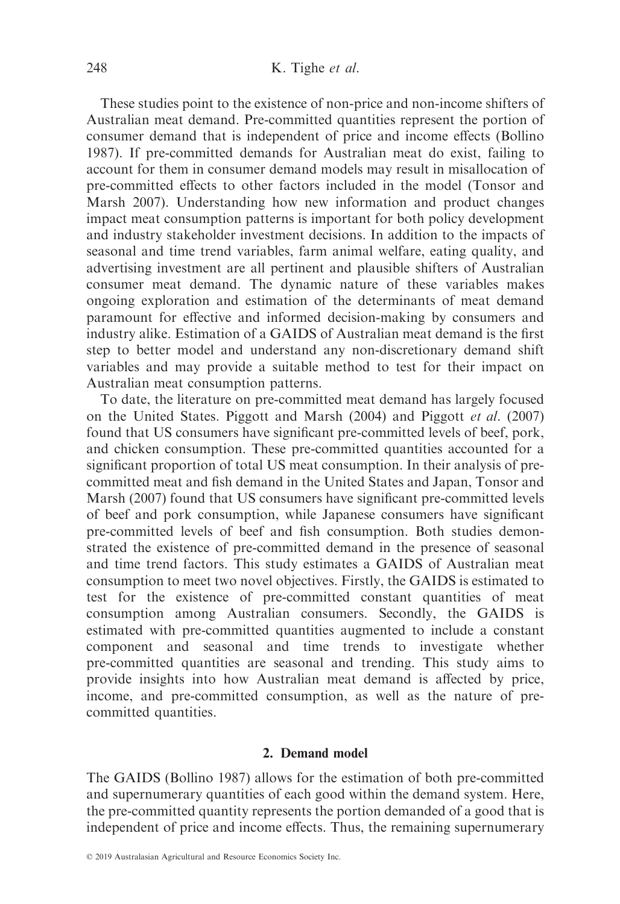These studies point to the existence of non-price and non-income shifters of Australian meat demand. Pre-committed quantities represent the portion of consumer demand that is independent of price and income effects (Bollino 1987). If pre-committed demands for Australian meat do exist, failing to account for them in consumer demand models may result in misallocation of pre-committed effects to other factors included in the model (Tonsor and Marsh 2007). Understanding how new information and product changes impact meat consumption patterns is important for both policy development and industry stakeholder investment decisions. In addition to the impacts of seasonal and time trend variables, farm animal welfare, eating quality, and advertising investment are all pertinent and plausible shifters of Australian consumer meat demand. The dynamic nature of these variables makes ongoing exploration and estimation of the determinants of meat demand paramount for effective and informed decision-making by consumers and industry alike. Estimation of a GAIDS of Australian meat demand is the first step to better model and understand any non-discretionary demand shift variables and may provide a suitable method to test for their impact on Australian meat consumption patterns.

To date, the literature on pre-committed meat demand has largely focused on the United States. Piggott and Marsh (2004) and Piggott et al. (2007) found that US consumers have significant pre-committed levels of beef, pork, and chicken consumption. These pre-committed quantities accounted for a significant proportion of total US meat consumption. In their analysis of precommitted meat and fish demand in the United States and Japan, Tonsor and Marsh (2007) found that US consumers have significant pre-committed levels of beef and pork consumption, while Japanese consumers have significant pre-committed levels of beef and fish consumption. Both studies demonstrated the existence of pre-committed demand in the presence of seasonal and time trend factors. This study estimates a GAIDS of Australian meat consumption to meet two novel objectives. Firstly, the GAIDS is estimated to test for the existence of pre-committed constant quantities of meat consumption among Australian consumers. Secondly, the GAIDS is estimated with pre-committed quantities augmented to include a constant component and seasonal and time trends to investigate whether pre-committed quantities are seasonal and trending. This study aims to provide insights into how Australian meat demand is affected by price, income, and pre-committed consumption, as well as the nature of precommitted quantities.

## 2. Demand model

The GAIDS (Bollino 1987) allows for the estimation of both pre-committed and supernumerary quantities of each good within the demand system. Here, the pre-committed quantity represents the portion demanded of a good that is independent of price and income effects. Thus, the remaining supernumerary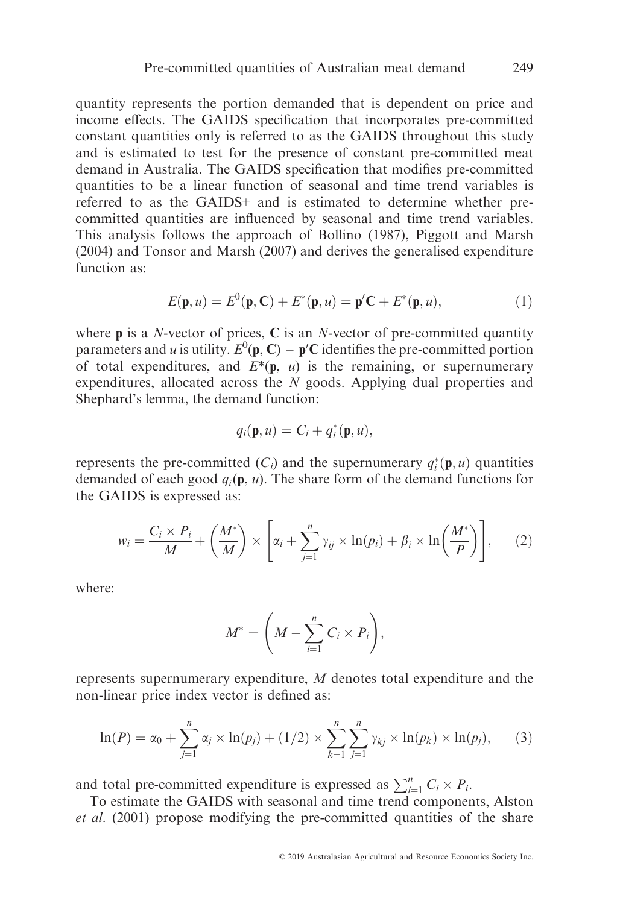quantity represents the portion demanded that is dependent on price and income effects. The GAIDS specification that incorporates pre-committed constant quantities only is referred to as the GAIDS throughout this study and is estimated to test for the presence of constant pre-committed meat demand in Australia. The GAIDS specification that modifies pre-committed quantities to be a linear function of seasonal and time trend variables is referred to as the GAIDS+ and is estimated to determine whether precommitted quantities are influenced by seasonal and time trend variables. This analysis follows the approach of Bollino (1987), Piggott and Marsh (2004) and Tonsor and Marsh (2007) and derives the generalised expenditure function as:

$$
E(\mathbf{p}, u) = E^{0}(\mathbf{p}, \mathbf{C}) + E^{*}(\mathbf{p}, u) = \mathbf{p}'\mathbf{C} + E^{*}(\mathbf{p}, u), \tag{1}
$$

where  $\bf{p}$  is a *N*-vector of prices,  $\bf{C}$  is an *N*-vector of pre-committed quantity parameters and u is utility.  $E^0(\mathbf{p}, \mathbf{C}) = \mathbf{p}'\mathbf{C}$  identifies the pre-committed portion of total expenditures, and  $E^*(p, u)$  is the remaining, or supernumerary expenditures, allocated across the N goods. Applying dual properties and Shephard's lemma, the demand function:

$$
q_i(\mathbf{p},u)=C_i+q_i^*(\mathbf{p},u),
$$

represents the pre-committed  $(C_i)$  and the supernumerary  $q_i^*(\mathbf{p}, u)$  quantities demanded of each good  $q_i(\mathbf{p}, u)$ . The share form of the demand functions for the GAIDS is expressed as:

$$
w_i = \frac{C_i \times P_i}{M} + \left(\frac{M^*}{M}\right) \times \left[\alpha_i + \sum_{j=1}^n \gamma_{ij} \times \ln(p_i) + \beta_i \times \ln\left(\frac{M^*}{P}\right)\right],\qquad(2)
$$

where:

$$
M^* = \left(M - \sum_{i=1}^n C_i \times P_i\right),
$$

represents supernumerary expenditure, M denotes total expenditure and the non-linear price index vector is defined as:

$$
\ln(P) = \alpha_0 + \sum_{j=1}^n \alpha_j \times \ln(p_j) + (1/2) \times \sum_{k=1}^n \sum_{j=1}^n \gamma_{kj} \times \ln(p_k) \times \ln(p_j), \qquad (3)
$$

and total pre-committed expenditure is expressed as  $\sum_{i=1}^{n} C_i \times P_i$ .

To estimate the GAIDS with seasonal and time trend components, Alston et al. (2001) propose modifying the pre-committed quantities of the share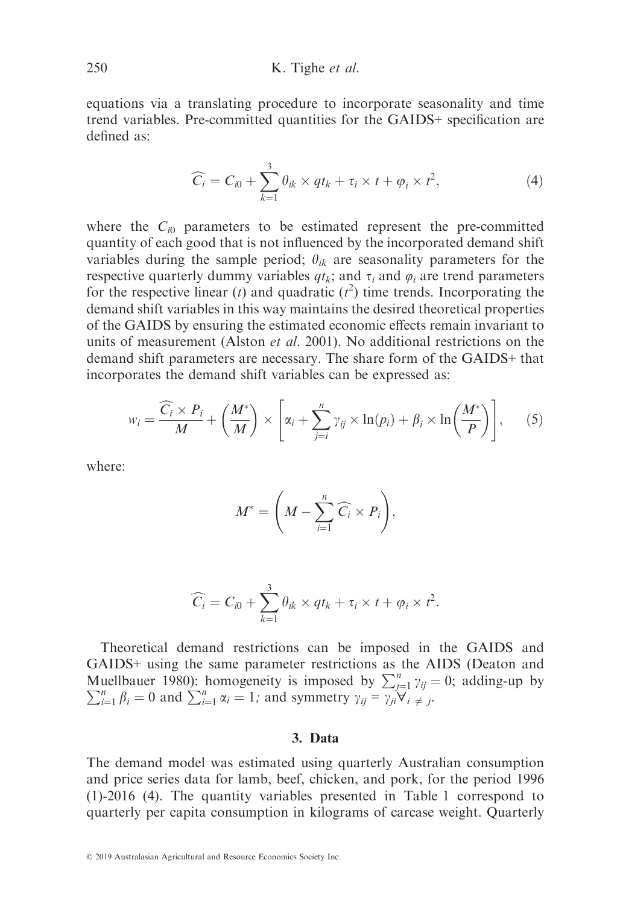equations via a translating procedure to incorporate seasonality and time trend variables. Pre-committed quantities for the GAIDS+ specification are defined as:

$$
\widehat{C_i} = C_{i0} + \sum_{k=1}^3 \theta_{ik} \times qt_k + \tau_i \times t + \varphi_i \times t^2, \tag{4}
$$

where the  $C_{i0}$  parameters to be estimated represent the pre-committed quantity of each good that is not influenced by the incorporated demand shift variables during the sample period;  $\theta_{ik}$  are seasonality parameters for the respective quarterly dummy variables  $qt_k$ ; and  $\tau_i$  and  $\varphi_i$  are trend parameters for the respective linear (*t*) and quadratic  $(t^2)$  time trends. Incorporating the demand shift variables in this way maintains the desired theoretical properties of the GAIDS by ensuring the estimated economic effects remain invariant to units of measurement (Alston et al. 2001). No additional restrictions on the demand shift parameters are necessary. The share form of the GAIDS+ that incorporates the demand shift variables can be expressed as:

$$
w_i = \frac{\widehat{C_i} \times P_i}{M} + \left(\frac{M^*}{M}\right) \times \left[\alpha_i + \sum_{j=i}^n \gamma_{ij} \times \ln(p_i) + \beta_i \times \ln\left(\frac{M^*}{P}\right)\right],\qquad(5)
$$

where:

$$
M^* = \left(M - \sum_{i=1}^n \widehat{C_i} \times P_i\right),
$$

$$
\widehat{C_i} = C_{i0} + \sum_{k=1}^3 \theta_{ik} \times qt_k + \tau_i \times t + \varphi_i \times t^2.
$$

Theoretical demand restrictions can be imposed in the GAIDS and GAIDS+ using the same parameter restrictions as the AIDS (Deaton and Muellbauer 1980): homogeneity is imposed by  $\sum_{i=1}^{n} \gamma_{ij} = 0$ ; adding-up by  $\sum_{i=1}^{n} \rho_{ij} = 0$  and  $\sum_{i=1}^{n} \gamma_{ij} = 0$ .  $\sum_{i=1}^{n} \beta_i = 0$  and  $\sum_{i=1}^{n} \alpha_i = 1$ ; and symmetry  $\gamma_{ij} = \gamma_{ji} \forall_i \neq j$ .

#### 3. Data

The demand model was estimated using quarterly Australian consumption and price series data for lamb, beef, chicken, and pork, for the period 1996 (1)-2016 (4). The quantity variables presented in Table 1 correspond to quarterly per capita consumption in kilograms of carcase weight. Quarterly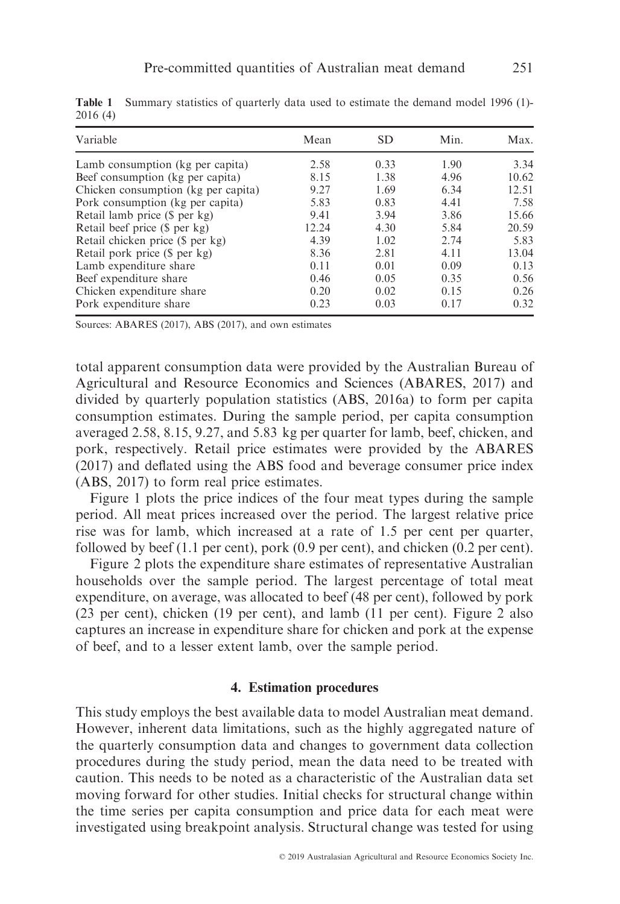| Variable                            | Mean  | <b>SD</b> | Min. | Max.  |
|-------------------------------------|-------|-----------|------|-------|
| Lamb consumption (kg per capita)    | 2.58  | 0.33      | 1.90 | 3.34  |
| Beef consumption (kg per capita)    | 8.15  | 1.38      | 4.96 | 10.62 |
| Chicken consumption (kg per capita) | 9.27  | 1.69      | 6.34 | 12.51 |
| Pork consumption (kg per capita)    | 5.83  | 0.83      | 4.41 | 7.58  |
| Retail lamb price (\$ per kg)       | 9.41  | 3.94      | 3.86 | 15.66 |
| Retail beef price (\$ per kg)       | 12.24 | 4.30      | 5.84 | 20.59 |
| Retail chicken price (\$ per kg)    | 4.39  | 1.02      | 2.74 | 5.83  |
| Retail pork price (\$ per kg)       | 8.36  | 2.81      | 4.11 | 13.04 |
| Lamb expenditure share              | 0.11  | 0.01      | 0.09 | 0.13  |
| Beef expenditure share              | 0.46  | 0.05      | 0.35 | 0.56  |
| Chicken expenditure share           | 0.20  | 0.02      | 0.15 | 0.26  |
| Pork expenditure share              | 0.23  | 0.03      | 0.17 | 0.32  |

Table 1 Summary statistics of quarterly data used to estimate the demand model 1996 (1)- 2016 (4)

Sources: ABARES (2017), ABS (2017), and own estimates

total apparent consumption data were provided by the Australian Bureau of Agricultural and Resource Economics and Sciences (ABARES, 2017) and divided by quarterly population statistics (ABS, 2016a) to form per capita consumption estimates. During the sample period, per capita consumption averaged 2.58, 8.15, 9.27, and 5.83 kg per quarter for lamb, beef, chicken, and pork, respectively. Retail price estimates were provided by the ABARES (2017) and deflated using the ABS food and beverage consumer price index (ABS, 2017) to form real price estimates.

Figure 1 plots the price indices of the four meat types during the sample period. All meat prices increased over the period. The largest relative price rise was for lamb, which increased at a rate of 1.5 per cent per quarter, followed by beef (1.1 per cent), pork (0.9 per cent), and chicken (0.2 per cent).

Figure 2 plots the expenditure share estimates of representative Australian households over the sample period. The largest percentage of total meat expenditure, on average, was allocated to beef (48 per cent), followed by pork (23 per cent), chicken (19 per cent), and lamb (11 per cent). Figure 2 also captures an increase in expenditure share for chicken and pork at the expense of beef, and to a lesser extent lamb, over the sample period.

## 4. Estimation procedures

This study employs the best available data to model Australian meat demand. However, inherent data limitations, such as the highly aggregated nature of the quarterly consumption data and changes to government data collection procedures during the study period, mean the data need to be treated with caution. This needs to be noted as a characteristic of the Australian data set moving forward for other studies. Initial checks for structural change within the time series per capita consumption and price data for each meat were investigated using breakpoint analysis. Structural change was tested for using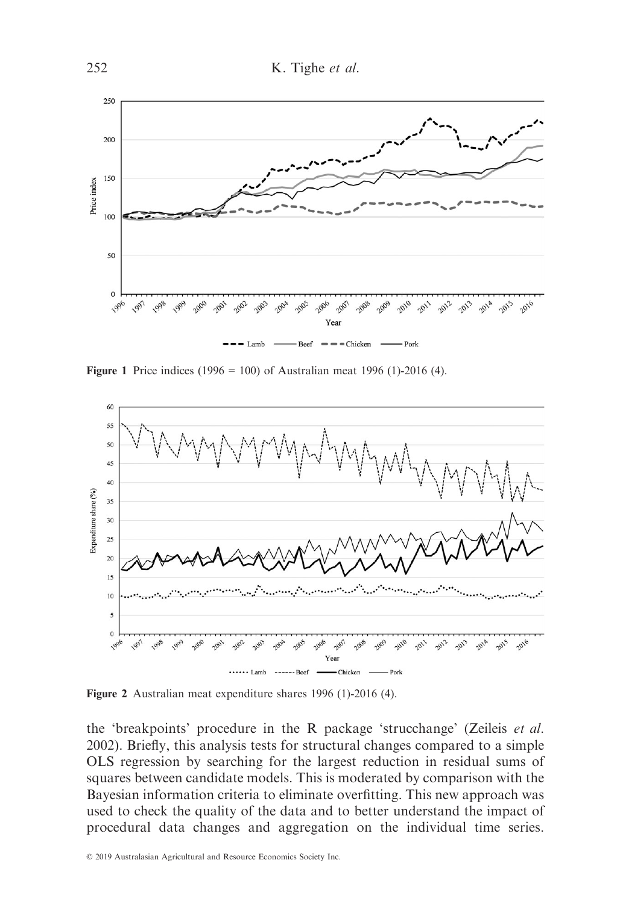

**Figure 1** Price indices (1996 = 100) of Australian meat 1996 (1)-2016 (4).



Figure 2 Australian meat expenditure shares 1996 (1)-2016 (4).

the 'breakpoints' procedure in the R package 'strucchange' (Zeileis et al. 2002). Briefly, this analysis tests for structural changes compared to a simple OLS regression by searching for the largest reduction in residual sums of squares between candidate models. This is moderated by comparison with the Bayesian information criteria to eliminate overfitting. This new approach was used to check the quality of the data and to better understand the impact of procedural data changes and aggregation on the individual time series.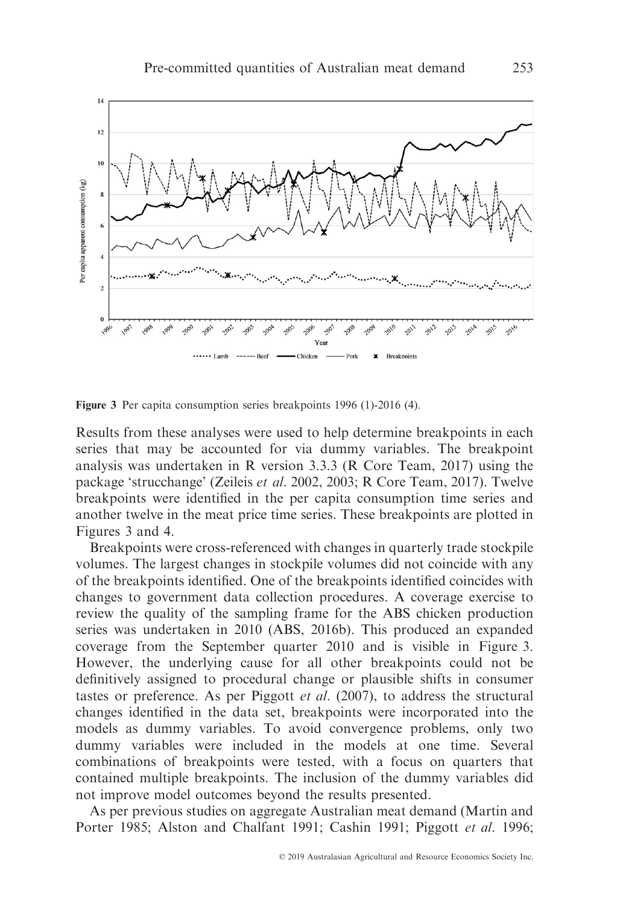

Figure 3 Per capita consumption series breakpoints 1996 (1)-2016 (4).

Results from these analyses were used to help determine breakpoints in each series that may be accounted for via dummy variables. The breakpoint analysis was undertaken in R version 3.3.3 (R Core Team, 2017) using the package 'strucchange' (Zeileis et al. 2002, 2003; R Core Team, 2017). Twelve breakpoints were identified in the per capita consumption time series and another twelve in the meat price time series. These breakpoints are plotted in Figures 3 and 4.

Breakpoints were cross-referenced with changes in quarterly trade stockpile volumes. The largest changes in stockpile volumes did not coincide with any of the breakpoints identified. One of the breakpoints identified coincides with changes to government data collection procedures. A coverage exercise to review the quality of the sampling frame for the ABS chicken production series was undertaken in 2010 (ABS, 2016b). This produced an expanded coverage from the September quarter 2010 and is visible in Figure 3. However, the underlying cause for all other breakpoints could not be definitively assigned to procedural change or plausible shifts in consumer tastes or preference. As per Piggott et al. (2007), to address the structural changes identified in the data set, breakpoints were incorporated into the models as dummy variables. To avoid convergence problems, only two dummy variables were included in the models at one time. Several combinations of breakpoints were tested, with a focus on quarters that contained multiple breakpoints. The inclusion of the dummy variables did not improve model outcomes beyond the results presented.

As per previous studies on aggregate Australian meat demand (Martin and Porter 1985; Alston and Chalfant 1991; Cashin 1991; Piggott et al. 1996;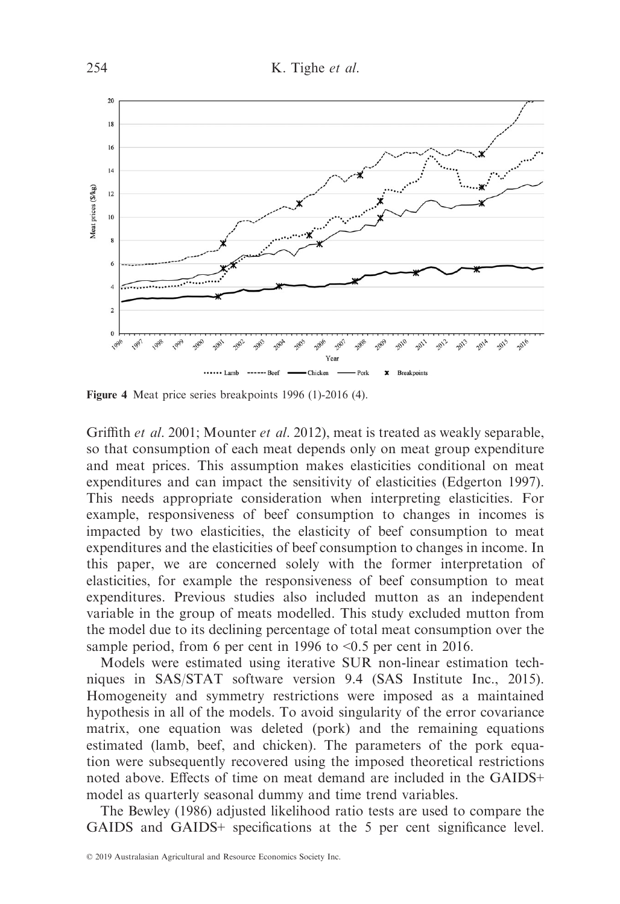

Figure 4 Meat price series breakpoints 1996 (1)-2016 (4).

Griffith et al. 2001; Mounter et al. 2012), meat is treated as weakly separable, so that consumption of each meat depends only on meat group expenditure and meat prices. This assumption makes elasticities conditional on meat expenditures and can impact the sensitivity of elasticities (Edgerton 1997). This needs appropriate consideration when interpreting elasticities. For example, responsiveness of beef consumption to changes in incomes is impacted by two elasticities, the elasticity of beef consumption to meat expenditures and the elasticities of beef consumption to changes in income. In this paper, we are concerned solely with the former interpretation of elasticities, for example the responsiveness of beef consumption to meat expenditures. Previous studies also included mutton as an independent variable in the group of meats modelled. This study excluded mutton from the model due to its declining percentage of total meat consumption over the sample period, from 6 per cent in 1996 to <0.5 per cent in 2016.

Models were estimated using iterative SUR non-linear estimation techniques in SAS/STAT software version 9.4 (SAS Institute Inc., 2015). Homogeneity and symmetry restrictions were imposed as a maintained hypothesis in all of the models. To avoid singularity of the error covariance matrix, one equation was deleted (pork) and the remaining equations estimated (lamb, beef, and chicken). The parameters of the pork equation were subsequently recovered using the imposed theoretical restrictions noted above. Effects of time on meat demand are included in the GAIDS+ model as quarterly seasonal dummy and time trend variables.

The Bewley (1986) adjusted likelihood ratio tests are used to compare the GAIDS and GAIDS+ specifications at the 5 per cent significance level.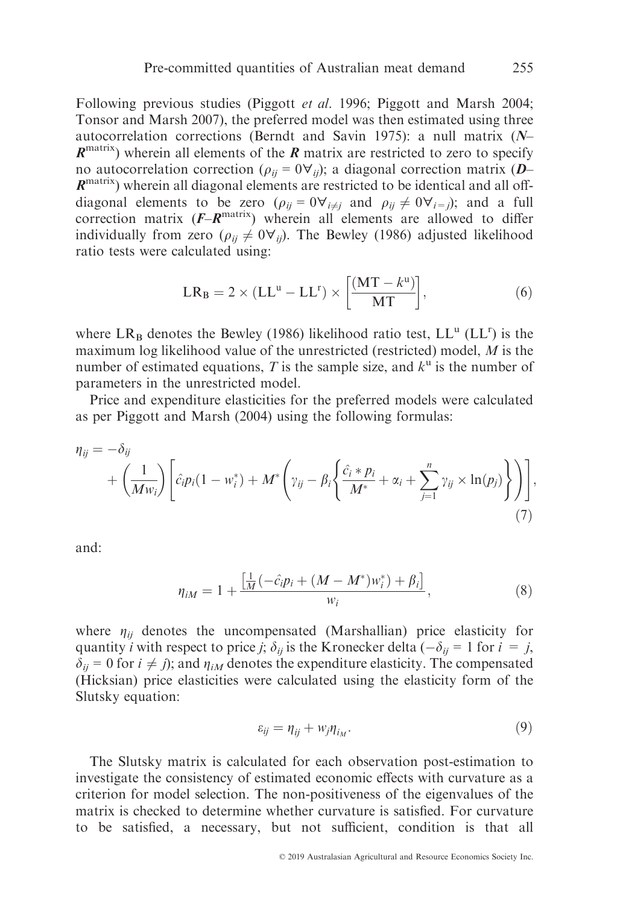Following previous studies (Piggott et al. 1996; Piggott and Marsh 2004; Tonsor and Marsh 2007), the preferred model was then estimated using three autocorrelation corrections (Berndt and Savin 1975): a null matrix (N–  $R^{\text{matrix}}$ ) wherein all elements of the R matrix are restricted to zero to specify no autocorrelation correction ( $\rho_{ii} = 0 \forall_{ii}$ ); a diagonal correction matrix (**D**–  $R^{\text{matrix}}$ ) wherein all diagonal elements are restricted to be identical and all offdiagonal elements to be zero  $(\rho_{ij} = 0 \forall_{i \neq j}$  and  $\rho_{ij} \neq 0 \forall_{i=j}$ ; and a full correction matrix  $(F-R^{\text{matrix}})$  wherein all elements are allowed to differ individually from zero ( $\rho_{ii} \neq 0 \forall_{ii}$ ). The Bewley (1986) adjusted likelihood ratio tests were calculated using:

$$
LR_{B} = 2 \times (LL^{u} - LL^{r}) \times \left[\frac{(MT - k^{u})}{MT}\right],
$$
 (6)

where  $LR_B$  denotes the Bewley (1986) likelihood ratio test,  $LL<sup>u</sup>$  ( $LL<sup>r</sup>$ ) is the maximum log likelihood value of the unrestricted (restricted) model, M is the number of estimated equations, T is the sample size, and  $k^u$  is the number of parameters in the unrestricted model.

Price and expenditure elasticities for the preferred models were calculated as per Piggott and Marsh (2004) using the following formulas:

$$
\eta_{ij} = -\delta_{ij}
$$
  
+  $\left(\frac{1}{Mw_i}\right) \left[ \hat{c}_i p_i (1 - w_i^*) + M^* \left( \gamma_{ij} - \beta_i \left\{ \frac{\hat{c}_i * p_i}{M^*} + \alpha_i + \sum_{j=1}^n \gamma_{ij} \times \ln(p_j) \right\} \right) \right],$  (7)

and:

$$
\eta_{iM} = 1 + \frac{\left[\frac{1}{M}(-\hat{c}_{i}p_{i} + (M - M^{*})w_{i}^{*}) + \beta_{i}\right]}{w_{i}},
$$
\n(8)

where  $\eta_{ii}$  denotes the uncompensated (Marshallian) price elasticity for quantity *i* with respect to price *j*;  $\delta_{ij}$  is the Kronecker delta ( $-\delta_{ij} = 1$  for  $i=j$ ,  $\delta_{ii} = 0$  for  $i \neq j$ ); and  $\eta_{iM}$  denotes the expenditure elasticity. The compensated (Hicksian) price elasticities were calculated using the elasticity form of the Slutsky equation:

$$
\varepsilon_{ij} = \eta_{ij} + w_j \eta_{i_M}.\tag{9}
$$

The Slutsky matrix is calculated for each observation post-estimation to investigate the consistency of estimated economic effects with curvature as a criterion for model selection. The non-positiveness of the eigenvalues of the matrix is checked to determine whether curvature is satisfied. For curvature to be satisfied, a necessary, but not sufficient, condition is that all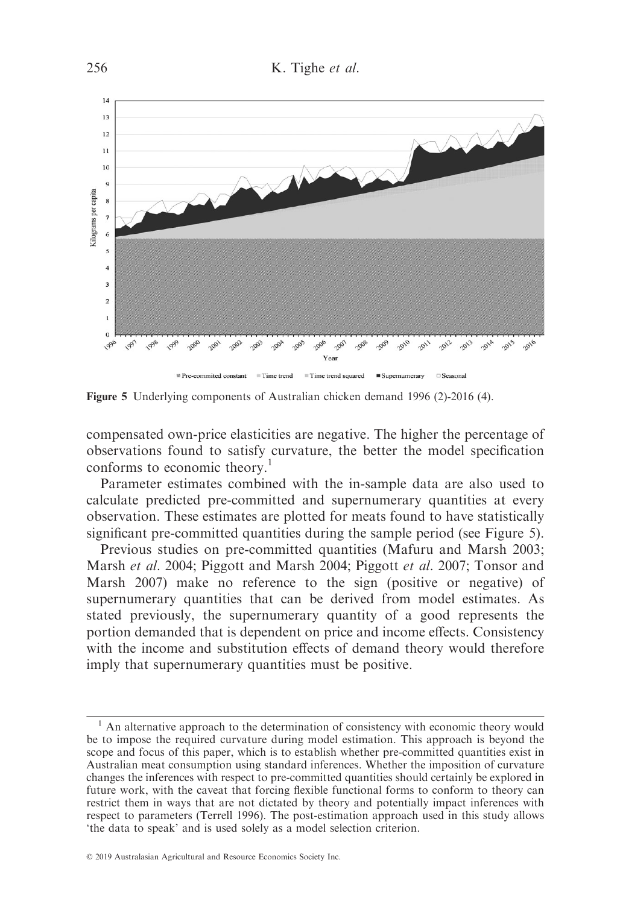

Figure 5 Underlying components of Australian chicken demand 1996 (2)-2016 (4).

compensated own-price elasticities are negative. The higher the percentage of observations found to satisfy curvature, the better the model specification conforms to economic theory.<sup>1</sup>

Parameter estimates combined with the in-sample data are also used to calculate predicted pre-committed and supernumerary quantities at every observation. These estimates are plotted for meats found to have statistically significant pre-committed quantities during the sample period (see Figure 5).

Previous studies on pre-committed quantities (Mafuru and Marsh 2003; Marsh et al. 2004; Piggott and Marsh 2004; Piggott et al. 2007; Tonsor and Marsh 2007) make no reference to the sign (positive or negative) of supernumerary quantities that can be derived from model estimates. As stated previously, the supernumerary quantity of a good represents the portion demanded that is dependent on price and income effects. Consistency with the income and substitution effects of demand theory would therefore imply that supernumerary quantities must be positive.

<sup>&</sup>lt;sup>1</sup> An alternative approach to the determination of consistency with economic theory would be to impose the required curvature during model estimation. This approach is beyond the scope and focus of this paper, which is to establish whether pre-committed quantities exist in Australian meat consumption using standard inferences. Whether the imposition of curvature changes the inferences with respect to pre-committed quantities should certainly be explored in future work, with the caveat that forcing flexible functional forms to conform to theory can restrict them in ways that are not dictated by theory and potentially impact inferences with respect to parameters (Terrell 1996). The post-estimation approach used in this study allows 'the data to speak' and is used solely as a model selection criterion.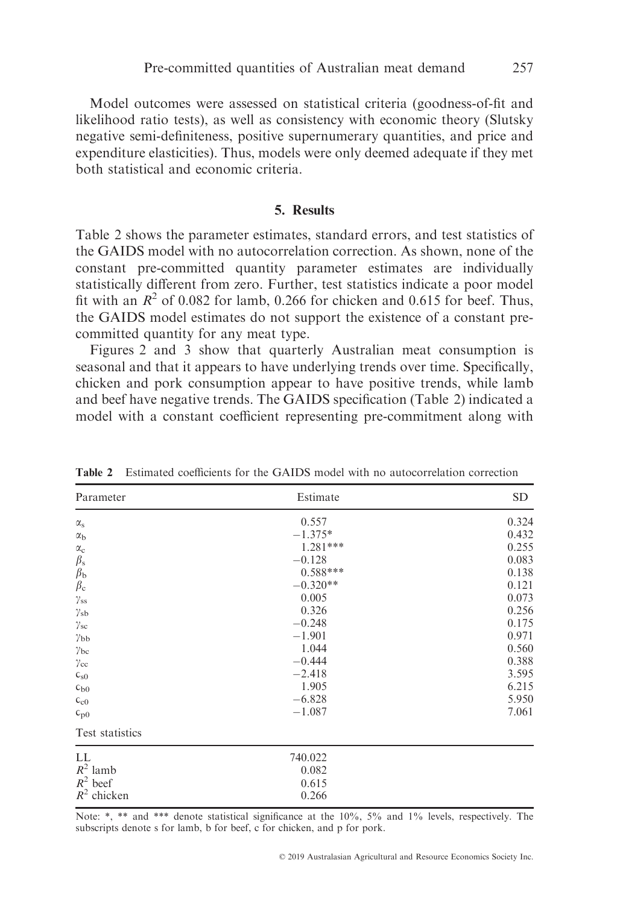Model outcomes were assessed on statistical criteria (goodness-of-fit and likelihood ratio tests), as well as consistency with economic theory (Slutsky negative semi-definiteness, positive supernumerary quantities, and price and expenditure elasticities). Thus, models were only deemed adequate if they met both statistical and economic criteria.

## 5. Results

Table 2 shows the parameter estimates, standard errors, and test statistics of the GAIDS model with no autocorrelation correction. As shown, none of the constant pre-committed quantity parameter estimates are individually statistically different from zero. Further, test statistics indicate a poor model fit with an  $R^2$  of 0.082 for lamb, 0.266 for chicken and 0.615 for beef. Thus, the GAIDS model estimates do not support the existence of a constant precommitted quantity for any meat type.

Figures 2 and 3 show that quarterly Australian meat consumption is seasonal and that it appears to have underlying trends over time. Specifically, chicken and pork consumption appear to have positive trends, while lamb and beef have negative trends. The GAIDS specification (Table 2) indicated a model with a constant coefficient representing pre-commitment along with

| 0.324 |
|-------|
| 0.432 |
| 0.255 |
| 0.083 |
| 0.138 |
| 0.121 |
| 0.073 |
| 0.256 |
| 0.175 |
| 0.971 |
| 0.560 |
| 0.388 |
| 3.595 |
| 6.215 |
| 5.950 |
| 7.061 |
|       |
|       |
|       |
|       |
|       |
|       |

Table 2 Estimated coefficients for the GAIDS model with no autocorrelation correction

Note: \*, \*\* and \*\*\* denote statistical significance at the 10%, 5% and 1% levels, respectively. The subscripts denote s for lamb, b for beef, c for chicken, and p for pork.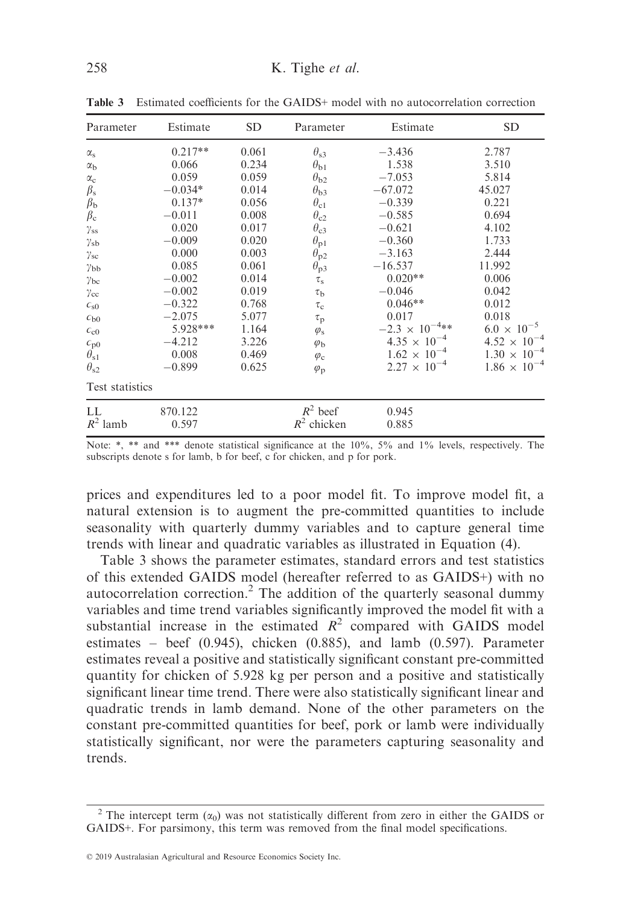| Parameter         | Estimate  | <b>SD</b> | Parameter           | Estimate                 | <b>SD</b>             |
|-------------------|-----------|-----------|---------------------|--------------------------|-----------------------|
| $\alpha_{\rm s}$  | $0.217**$ | 0.061     | $\theta_{s3}$       | $-3.436$                 | 2.787                 |
| $\alpha_{\rm b}$  | 0.066     | 0.234     | $\theta_{b1}$       | 1.538                    | 3.510                 |
| $\alpha_{\rm c}$  | 0.059     | 0.059     | $\theta_{b2}$       | $-7.053$                 | 5.814                 |
| $\beta_{\rm s}$   | $-0.034*$ | 0.014     | $\theta_{b3}$       | $-67.072$                | 45.027                |
| $\beta_{\rm b}$   | $0.137*$  | 0.056     | $\theta_{c1}$       | $-0.339$                 | 0.221                 |
| $\beta_c$         | $-0.011$  | 0.008     | $\theta_{c2}$       | $-0.585$                 | 0.694                 |
| $\gamma_{ss}$     | 0.020     | 0.017     | $\theta_{c3}$       | $-0.621$                 | 4.102                 |
| $\gamma_{sb}$     | $-0.009$  | 0.020     | $\theta_{\rm p1}$   | $-0.360$                 | 1.733                 |
| $\gamma_{\rm sc}$ | 0.000     | 0.003     | $\hat{\theta_{p2}}$ | $-3.163$                 | 2.444                 |
| $\gamma_{\rm bb}$ | 0.085     | 0.061     | $\theta_{p3}$       | $-16.537$                | 11.992                |
| $\gamma_{bc}$     | $-0.002$  | 0.014     | $\tau_{\rm s}$      | $0.020**$                | 0.006                 |
| $\gamma_{\rm cc}$ | $-0.002$  | 0.019     | $\tau_{\rm b}$      | $-0.046$                 | 0.042                 |
| $c_{s0}$          | $-0.322$  | 0.768     | $\tau_{\rm c}$      | $0.046**$                | 0.012                 |
| $c_{b0}$          | $-2.075$  | 5.077     | $\tau_{\rm p}$      | 0.017                    | 0.018                 |
| $c_{c0}$          | 5.928***  | 1.164     | $\varphi_{\rm s}$   | $-2.3 \times 10^{-4}$ ** | $6.0 \times 10^{-5}$  |
| $c_{\rm p0}$      | $-4.212$  | 3.226     | $\varphi_{\rm b}$   | $4.35 \times 10^{-4}$    | $4.52 \times 10^{-4}$ |
| $\theta_{s1}$     | 0.008     | 0.469     | $\varphi_{\rm c}$   | $1.62 \times 10^{-4}$    | $1.30 \times 10^{-4}$ |
| $\theta_{s2}$     | $-0.899$  | 0.625     | $\varphi_{\rm p}$   | $2.27 \times 10^{-4}$    | $1.86 \times 10^{-4}$ |
| Test statistics   |           |           |                     |                          |                       |
| LL                | 870.122   |           | $R^2$ beef          | 0.945                    |                       |
| $R^2$ lamb        | 0.597     |           | $R^2$ chicken       | 0.885                    |                       |

Table 3 Estimated coefficients for the GAIDS+ model with no autocorrelation correction

Note: \*, \*\* and \*\*\* denote statistical significance at the 10%, 5% and 1% levels, respectively. The subscripts denote s for lamb, b for beef, c for chicken, and p for pork.

prices and expenditures led to a poor model fit. To improve model fit, a natural extension is to augment the pre-committed quantities to include seasonality with quarterly dummy variables and to capture general time trends with linear and quadratic variables as illustrated in Equation (4).

Table 3 shows the parameter estimates, standard errors and test statistics of this extended GAIDS model (hereafter referred to as GAIDS+) with no autocorrelation correction.<sup>2</sup> The addition of the quarterly seasonal dummy variables and time trend variables significantly improved the model fit with a substantial increase in the estimated  $R^2$  compared with GAIDS model estimates – beef (0.945), chicken (0.885), and lamb (0.597). Parameter estimates reveal a positive and statistically significant constant pre-committed quantity for chicken of 5.928 kg per person and a positive and statistically significant linear time trend. There were also statistically significant linear and quadratic trends in lamb demand. None of the other parameters on the constant pre-committed quantities for beef, pork or lamb were individually statistically significant, nor were the parameters capturing seasonality and trends.

<sup>&</sup>lt;sup>2</sup> The intercept term  $(\alpha_0)$  was not statistically different from zero in either the GAIDS or GAIDS+. For parsimony, this term was removed from the final model specifications.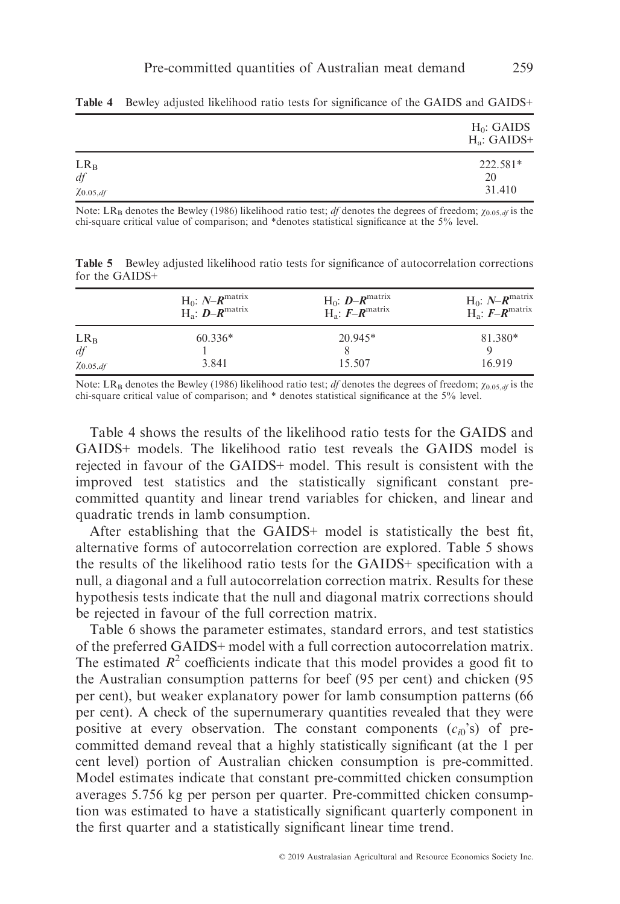|                   | $H_0$ : GAIDS<br>$H_a$ : GAIDS+ |
|-------------------|---------------------------------|
| $LR_B$            | $222.581*$                      |
| df                | 20                              |
| $\chi_{0.05, df}$ | 31.410                          |

Table 4 Bewley adjusted likelihood ratio tests for significance of the GAIDS and GAIDS+

Note: LR<sub>B</sub> denotes the Bewley (1986) likelihood ratio test; df denotes the degrees of freedom;  $\chi_{0.05,df}$  is the chi-square critical value of comparison; and \*denotes statistical significance at the 5% level.

Table 5 Bewley adjusted likelihood ratio tests for significance of autocorrelation corrections for the GAIDS+

|                   | H <sub>0</sub> : $N-R^{\text{matrix}}$<br>H <sub>a</sub> : $D-R^{\text{matrix}}$ | H <sub>0</sub> : $D-R$ <sup>matrix</sup><br>H <sub>a</sub> : $F-R$ <sup>matrix</sup> | $H_0$ : $N-R$ <sup>matrix</sup><br>H <sub>a</sub> : $F-R$ <sup>matrix</sup> |
|-------------------|----------------------------------------------------------------------------------|--------------------------------------------------------------------------------------|-----------------------------------------------------------------------------|
| $LR_B$            | $60.336*$                                                                        | $20.945*$                                                                            | 81.380*                                                                     |
| df                |                                                                                  |                                                                                      |                                                                             |
| $\chi_{0.05, df}$ | 3.841                                                                            | 15.507                                                                               | 16.919                                                                      |

Note: LR<sub>B</sub> denotes the Bewley (1986) likelihood ratio test; df denotes the degrees of freedom;  $\gamma_{0.05,df}$  is the chi-square critical value of comparison; and \* denotes statistical significance at the 5% level.

Table 4 shows the results of the likelihood ratio tests for the GAIDS and GAIDS+ models. The likelihood ratio test reveals the GAIDS model is rejected in favour of the GAIDS+ model. This result is consistent with the improved test statistics and the statistically significant constant precommitted quantity and linear trend variables for chicken, and linear and quadratic trends in lamb consumption.

After establishing that the GAIDS+ model is statistically the best fit, alternative forms of autocorrelation correction are explored. Table 5 shows the results of the likelihood ratio tests for the GAIDS+ specification with a null, a diagonal and a full autocorrelation correction matrix. Results for these hypothesis tests indicate that the null and diagonal matrix corrections should be rejected in favour of the full correction matrix.

Table 6 shows the parameter estimates, standard errors, and test statistics of the preferred GAIDS+ model with a full correction autocorrelation matrix. The estimated  $R^2$  coefficients indicate that this model provides a good fit to the Australian consumption patterns for beef (95 per cent) and chicken (95 per cent), but weaker explanatory power for lamb consumption patterns (66 per cent). A check of the supernumerary quantities revealed that they were positive at every observation. The constant components  $(c_{i0}^{\dagger})$  of precommitted demand reveal that a highly statistically significant (at the 1 per cent level) portion of Australian chicken consumption is pre-committed. Model estimates indicate that constant pre-committed chicken consumption averages 5.756 kg per person per quarter. Pre-committed chicken consumption was estimated to have a statistically significant quarterly component in the first quarter and a statistically significant linear time trend.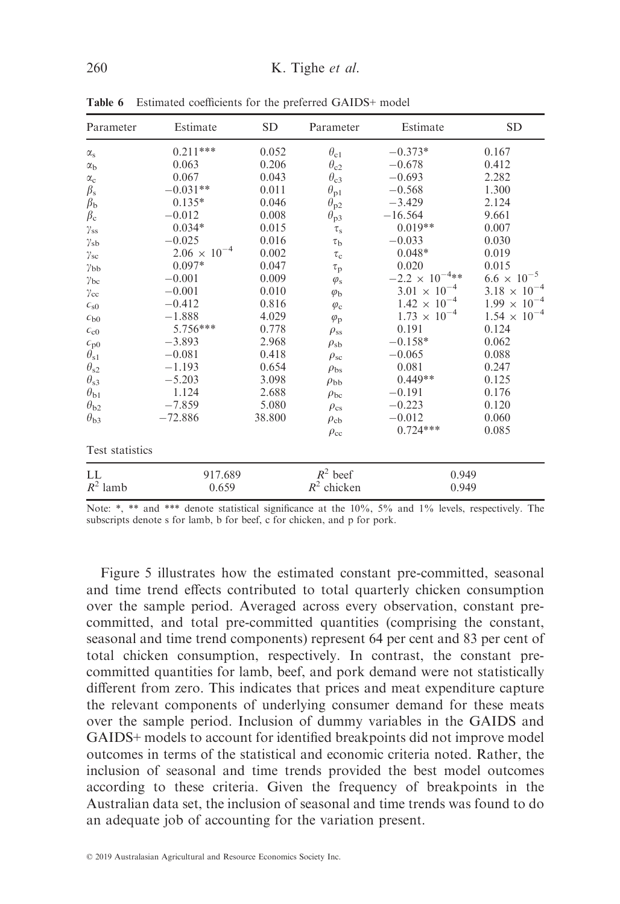| Parameter         | Estimate              | <b>SD</b> | Parameter         | Estimate                | <b>SD</b>             |
|-------------------|-----------------------|-----------|-------------------|-------------------------|-----------------------|
| $\alpha_{\rm s}$  | $0.211***$            | 0.052     | $\theta_{c1}$     | $-0.373*$               | 0.167                 |
| $\alpha_{\rm b}$  | 0.063                 | 0.206     | $\theta_{c2}$     | $-0.678$                | 0.412                 |
| $\alpha_{\rm c}$  | 0.067                 | 0.043     | $\theta_{c3}$     | $-0.693$                | 2.282                 |
| $\beta_{\rm s}$   | $-0.031**$            | 0.011     | $\theta_{p1}$     | $-0.568$                | 1.300                 |
| $\beta_{\rm b}$   | $0.135*$              | 0.046     | $\theta_{p2}$     | $-3.429$                | 2.124                 |
| $\beta_c$         | $-0.012$              | 0.008     | $\theta_{p3}$     | $-16.564$               | 9.661                 |
| $\gamma_{ss}$     | $0.034*$              | 0.015     | $\tau_{\rm s}$    | $0.019**$               | 0.007                 |
| $\gamma_{sb}$     | $-0.025$              | 0.016     | $\tau_{\rm b}$    | $-0.033$                | 0.030                 |
| $\gamma_{\rm sc}$ | $2.06 \times 10^{-4}$ | 0.002     | $\tau_{\rm c}$    | $0.048*$                | 0.019                 |
| $\gamma_{\rm bb}$ | $0.097*$              | 0.047     | $\tau_{\rm p}$    | 0.020                   | 0.015                 |
| $\gamma_{bc}$     | $-0.001$              | 0.009     | $\varphi_{\rm s}$ | $-2.2 \times 10^{-4**}$ | $6.6 \times 10^{-5}$  |
| $\gamma_{\rm cc}$ | $-0.001$              | 0.010     | $\varphi_{\rm b}$ | $3.01 \times 10^{-4}$   | $3.18 \times 10^{-4}$ |
| $c_{s0}$          | $-0.412$              | 0.816     | $\varphi_{\rm c}$ | $1.42 \times 10^{-4}$   | $1.99 \times 10^{-4}$ |
| $c_{b0}$          | $-1.888$              | 4.029     | $\varphi_{\rm p}$ | $1.73 \times 10^{-4}$   | $1.54 \times 10^{-4}$ |
| $c_{c0}$          | $5.756***$            | 0.778     | $\rho_{ss}$       | 0.191                   | 0.124                 |
| $c_{\rm p0}$      | $-3.893$              | 2.968     | $\rho_{sb}$       | $-0.158*$               | 0.062                 |
| $\theta_{s1}$     | $-0.081$              | 0.418     | $\rho_{\rm sc}$   | $-0.065$                | 0.088                 |
| $\theta_{s2}$     | $-1.193$              | 0.654     | $\rho_{\rm bs}$   | 0.081                   | 0.247                 |
| $\theta_{s3}$     | $-5.203$              | 3.098     | $\rho_{\rm bb}$   | $0.449**$               | 0.125                 |
| $\theta_{b1}$     | 1.124                 | 2.688     | $\rho_{bc}$       | $-0.191$                | 0.176                 |
| $\theta_{b2}$     | $-7.859$              | 5.080     | $\rho_{\rm cs}$   | $-0.223$                | 0.120                 |
| $\theta_{b3}$     | $-72.886$             | 38.800    | $\rho_{cb}$       | $-0.012$                | 0.060                 |
|                   |                       |           | $\rho_{\rm cc}$   | $0.724***$              | 0.085                 |
| Test statistics   |                       |           |                   |                         |                       |
| LL                | 917.689               |           | $R^2$ beef        | 0.949                   |                       |
| $R^2$ lamb        | 0.659                 |           | $R^2$ chicken     | 0.949                   |                       |

Table 6 Estimated coefficients for the preferred GAIDS+ model

Note: \*, \*\* and \*\*\* denote statistical significance at the 10%, 5% and 1% levels, respectively. The subscripts denote s for lamb, b for beef, c for chicken, and p for pork.

Figure 5 illustrates how the estimated constant pre-committed, seasonal and time trend effects contributed to total quarterly chicken consumption over the sample period. Averaged across every observation, constant precommitted, and total pre-committed quantities (comprising the constant, seasonal and time trend components) represent 64 per cent and 83 per cent of total chicken consumption, respectively. In contrast, the constant precommitted quantities for lamb, beef, and pork demand were not statistically different from zero. This indicates that prices and meat expenditure capture the relevant components of underlying consumer demand for these meats over the sample period. Inclusion of dummy variables in the GAIDS and GAIDS+ models to account for identified breakpoints did not improve model outcomes in terms of the statistical and economic criteria noted. Rather, the inclusion of seasonal and time trends provided the best model outcomes according to these criteria. Given the frequency of breakpoints in the Australian data set, the inclusion of seasonal and time trends was found to do an adequate job of accounting for the variation present.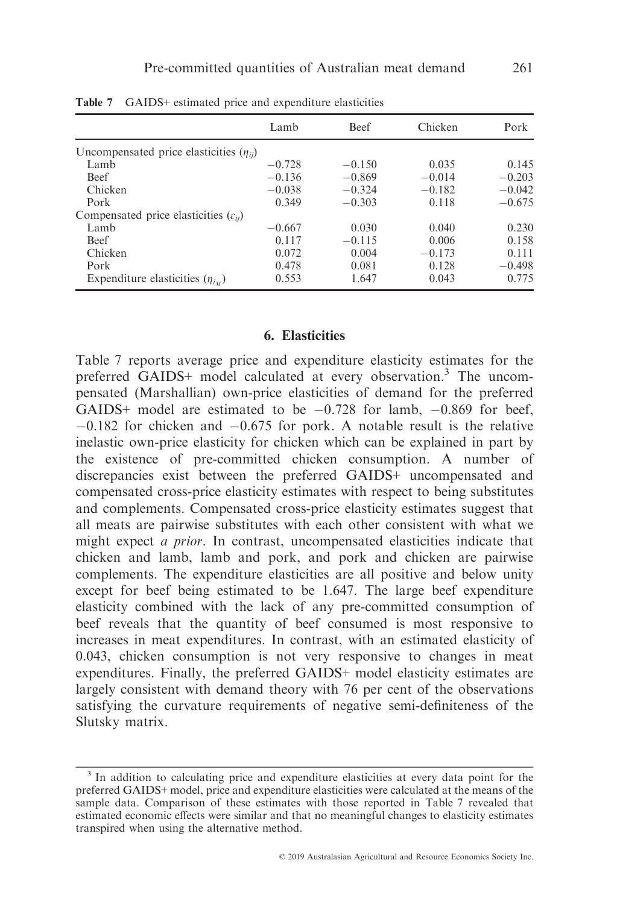|                                                     | Lamb     | <b>Beef</b> | Chicken  | Pork     |
|-----------------------------------------------------|----------|-------------|----------|----------|
| Uncompensated price elasticities $(\eta_{ii})$      |          |             |          |          |
| Lamb                                                | $-0.728$ | $-0.150$    | 0.035    | 0.145    |
| <b>Beef</b>                                         | $-0.136$ | $-0.869$    | $-0.014$ | $-0.203$ |
| Chicken                                             | $-0.038$ | $-0.324$    | $-0.182$ | $-0.042$ |
| Pork                                                | 0.349    | $-0.303$    | 0.118    | $-0.675$ |
| Compensated price elasticities $(\varepsilon_{ii})$ |          |             |          |          |
| Lamb                                                | $-0.667$ | 0.030       | 0.040    | 0.230    |
| <b>Beef</b>                                         | 0.117    | $-0.115$    | 0.006    | 0.158    |
| Chicken                                             | 0.072    | 0.004       | $-0.173$ | 0.111    |
| Pork                                                | 0.478    | 0.081       | 0.128    | $-0.498$ |
| Expenditure elasticities $(\eta_{i\mu})$            | 0.553    | 1.647       | 0.043    | 0.775    |

Table 7 GAIDS+ estimated price and expenditure elasticities

## 6. Elasticities

Table 7 reports average price and expenditure elasticity estimates for the preferred GAIDS+ model calculated at every observation.<sup>3</sup> The uncompensated (Marshallian) own-price elasticities of demand for the preferred GAIDS+ model are estimated to be  $-0.728$  for lamb,  $-0.869$  for beef,  $-0.182$  for chicken and  $-0.675$  for pork. A notable result is the relative inelastic own-price elasticity for chicken which can be explained in part by the existence of pre-committed chicken consumption. A number of discrepancies exist between the preferred GAIDS+ uncompensated and compensated cross-price elasticity estimates with respect to being substitutes and complements. Compensated cross-price elasticity estimates suggest that all meats are pairwise substitutes with each other consistent with what we might expect a prior. In contrast, uncompensated elasticities indicate that chicken and lamb, lamb and pork, and pork and chicken are pairwise complements. The expenditure elasticities are all positive and below unity except for beef being estimated to be 1.647. The large beef expenditure elasticity combined with the lack of any pre-committed consumption of beef reveals that the quantity of beef consumed is most responsive to increases in meat expenditures. In contrast, with an estimated elasticity of 0.043, chicken consumption is not very responsive to changes in meat expenditures. Finally, the preferred GAIDS+ model elasticity estimates are largely consistent with demand theory with 76 per cent of the observations satisfying the curvature requirements of negative semi-definiteness of the Slutsky matrix.

<sup>&</sup>lt;sup>3</sup> In addition to calculating price and expenditure elasticities at every data point for the preferred GAIDS+ model, price and expenditure elasticities were calculated at the means of the sample data. Comparison of these estimates with those reported in Table 7 revealed that estimated economic effects were similar and that no meaningful changes to elasticity estimates transpired when using the alternative method.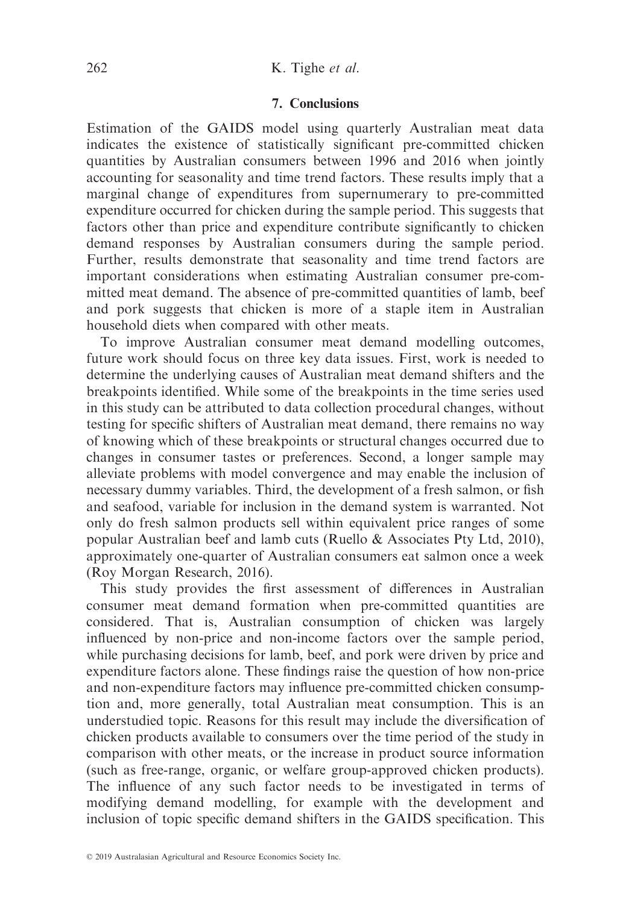## 7. Conclusions

Estimation of the GAIDS model using quarterly Australian meat data indicates the existence of statistically significant pre-committed chicken quantities by Australian consumers between 1996 and 2016 when jointly accounting for seasonality and time trend factors. These results imply that a marginal change of expenditures from supernumerary to pre-committed expenditure occurred for chicken during the sample period. This suggests that factors other than price and expenditure contribute significantly to chicken demand responses by Australian consumers during the sample period. Further, results demonstrate that seasonality and time trend factors are important considerations when estimating Australian consumer pre-committed meat demand. The absence of pre-committed quantities of lamb, beef and pork suggests that chicken is more of a staple item in Australian household diets when compared with other meats.

To improve Australian consumer meat demand modelling outcomes, future work should focus on three key data issues. First, work is needed to determine the underlying causes of Australian meat demand shifters and the breakpoints identified. While some of the breakpoints in the time series used in this study can be attributed to data collection procedural changes, without testing for specific shifters of Australian meat demand, there remains no way of knowing which of these breakpoints or structural changes occurred due to changes in consumer tastes or preferences. Second, a longer sample may alleviate problems with model convergence and may enable the inclusion of necessary dummy variables. Third, the development of a fresh salmon, or fish and seafood, variable for inclusion in the demand system is warranted. Not only do fresh salmon products sell within equivalent price ranges of some popular Australian beef and lamb cuts (Ruello & Associates Pty Ltd, 2010), approximately one-quarter of Australian consumers eat salmon once a week (Roy Morgan Research, 2016).

This study provides the first assessment of differences in Australian consumer meat demand formation when pre-committed quantities are considered. That is, Australian consumption of chicken was largely influenced by non-price and non-income factors over the sample period, while purchasing decisions for lamb, beef, and pork were driven by price and expenditure factors alone. These findings raise the question of how non-price and non-expenditure factors may influence pre-committed chicken consumption and, more generally, total Australian meat consumption. This is an understudied topic. Reasons for this result may include the diversification of chicken products available to consumers over the time period of the study in comparison with other meats, or the increase in product source information (such as free-range, organic, or welfare group-approved chicken products). The influence of any such factor needs to be investigated in terms of modifying demand modelling, for example with the development and inclusion of topic specific demand shifters in the GAIDS specification. This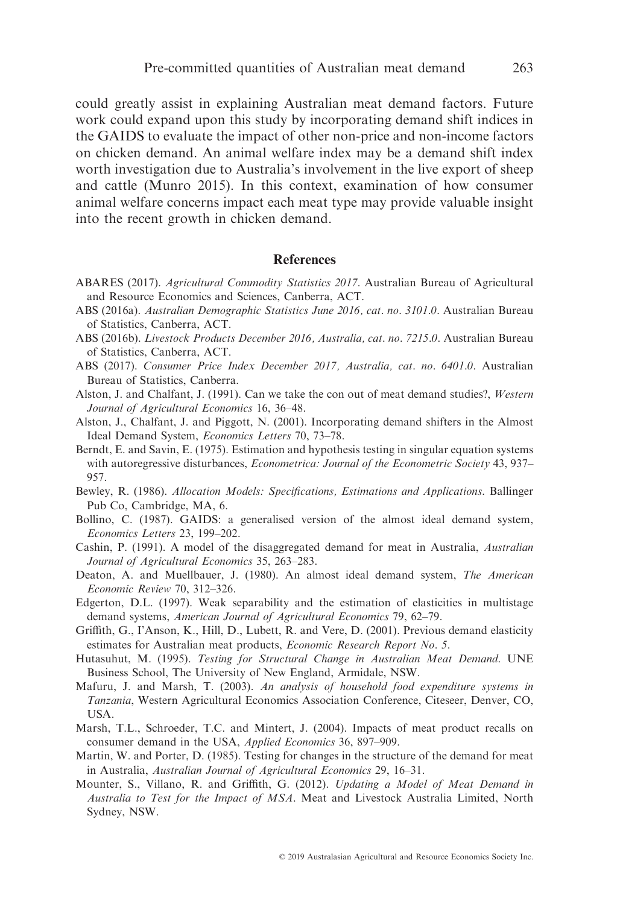could greatly assist in explaining Australian meat demand factors. Future work could expand upon this study by incorporating demand shift indices in the GAIDS to evaluate the impact of other non-price and non-income factors on chicken demand. An animal welfare index may be a demand shift index worth investigation due to Australia's involvement in the live export of sheep and cattle (Munro 2015). In this context, examination of how consumer animal welfare concerns impact each meat type may provide valuable insight into the recent growth in chicken demand.

#### References

- ABARES (2017). Agricultural Commodity Statistics 2017. Australian Bureau of Agricultural and Resource Economics and Sciences, Canberra, ACT.
- ABS (2016a). Australian Demographic Statistics June 2016, cat. no. 3101.0. Australian Bureau of Statistics, Canberra, ACT.
- ABS (2016b). Livestock Products December 2016, Australia, cat. no. 7215.0. Australian Bureau of Statistics, Canberra, ACT.
- ABS (2017). Consumer Price Index December 2017, Australia, cat. no. 6401.0. Australian Bureau of Statistics, Canberra.
- Alston, J. and Chalfant, J. (1991). Can we take the con out of meat demand studies?, Western Journal of Agricultural Economics 16, 36–48.
- Alston, J., Chalfant, J. and Piggott, N. (2001). Incorporating demand shifters in the Almost Ideal Demand System, Economics Letters 70, 73–78.
- Berndt, E. and Savin, E. (1975). Estimation and hypothesis testing in singular equation systems with autoregressive disturbances, *Econometrica: Journal of the Econometric Society* 43, 937– 957.
- Bewley, R. (1986). Allocation Models: Specifications, Estimations and Applications. Ballinger Pub Co, Cambridge, MA, 6.
- Bollino, C. (1987). GAIDS: a generalised version of the almost ideal demand system, Economics Letters 23, 199–202.
- Cashin, P. (1991). A model of the disaggregated demand for meat in Australia, Australian Journal of Agricultural Economics 35, 263–283.
- Deaton, A. and Muellbauer, J. (1980). An almost ideal demand system, The American Economic Review 70, 312–326.
- Edgerton, D.L. (1997). Weak separability and the estimation of elasticities in multistage demand systems, American Journal of Agricultural Economics 79, 62–79.
- Griffith, G., I'Anson, K., Hill, D., Lubett, R. and Vere, D. (2001). Previous demand elasticity estimates for Australian meat products, Economic Research Report No. 5.
- Hutasuhut, M. (1995). Testing for Structural Change in Australian Meat Demand. UNE Business School, The University of New England, Armidale, NSW.
- Mafuru, J. and Marsh, T. (2003). An analysis of household food expenditure systems in Tanzania, Western Agricultural Economics Association Conference, Citeseer, Denver, CO, USA.
- Marsh, T.L., Schroeder, T.C. and Mintert, J. (2004). Impacts of meat product recalls on consumer demand in the USA, Applied Economics 36, 897–909.
- Martin, W. and Porter, D. (1985). Testing for changes in the structure of the demand for meat in Australia, Australian Journal of Agricultural Economics 29, 16–31.
- Mounter, S., Villano, R. and Griffith, G. (2012). Updating a Model of Meat Demand in Australia to Test for the Impact of MSA. Meat and Livestock Australia Limited, North Sydney, NSW.